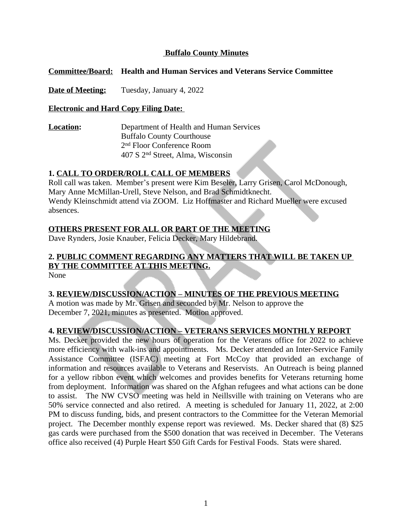#### **Buffalo County Minutes**

#### **Committee/Board: Health and Human Services and Veterans Service Committee**

**Date of Meeting:** Tuesday, January 4, 2022

#### **Electronic and Hard Copy Filing Date:**

**Location:** Department of Health and Human Services Buffalo County Courthouse 2 nd Floor Conference Room 407 S 2nd Street, Alma, Wisconsin

#### **1. CALL TO ORDER/ROLL CALL OF MEMBERS**

Roll call was taken. Member's present were Kim Beseler, Larry Grisen, Carol McDonough, Mary Anne McMillan-Urell, Steve Nelson, and Brad Schmidtknecht. Wendy Kleinschmidt attend via ZOOM. Liz Hoffmaster and Richard Mueller were excused absences.

#### **OTHERS PRESENT FOR ALL OR PART OF THE MEETING**

Dave Rynders, Josie Knauber, Felicia Decker, Mary Hildebrand.

## **2. PUBLIC COMMENT REGARDING ANY MATTERS THAT WILL BE TAKEN UP BY THE COMMITTEE AT THIS MEETING.**

None

#### **3. REVIEW/DISCUSSION/ACTION – MINUTES OF THE PREVIOUS MEETING**

A motion was made by Mr. Grisen and seconded by Mr. Nelson to approve the December 7, 2021, minutes as presented. Motion approved.

#### **4. REVIEW/DISCUSSION/ACTION – VETERANS SERVICES MONTHLY REPORT**

Ms. Decker provided the new hours of operation for the Veterans office for 2022 to achieve more efficiency with walk-ins and appointments. Ms. Decker attended an Inter-Service Family Assistance Committee (ISFAC) meeting at Fort McCoy that provided an exchange of information and resources available to Veterans and Reservists. An Outreach is being planned for a yellow ribbon event which welcomes and provides benefits for Veterans returning home from deployment. Information was shared on the Afghan refugees and what actions can be done to assist. The NW CVSO meeting was held in Neillsville with training on Veterans who are 50% service connected and also retired. A meeting is scheduled for January 11, 2022, at 2:00 PM to discuss funding, bids, and present contractors to the Committee for the Veteran Memorial project. The December monthly expense report was reviewed. Ms. Decker shared that (8) \$25 gas cards were purchased from the \$500 donation that was received in December. The Veterans office also received (4) Purple Heart \$50 Gift Cards for Festival Foods. Stats were shared.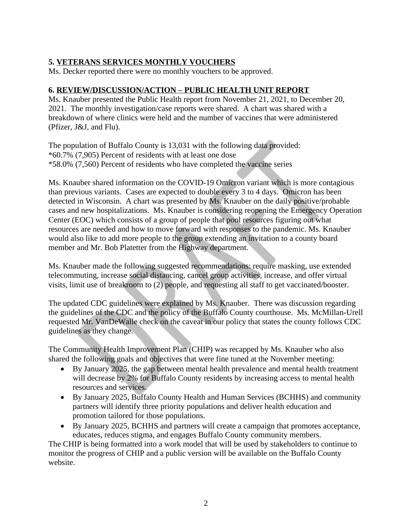## **5. VETERANS SERVICES MONTHLY VOUCHERS**

Ms. Decker reported there were no monthly vouchers to be approved.

#### **6. REVIEW/DISCUSSION/ACTION – PUBLIC HEALTH UNIT REPORT**

Ms. Knauber presented the Public Health report from November 21, 2021, to December 20, 2021. The monthly investigation/case reports were shared. A chart was shared with a breakdown of where clinics were held and the number of vaccines that were administered (Pfizer, J&J, and Flu).

The population of Buffalo County is 13,031 with the following data provided: \*60.7% (7,905) Percent of residents with at least one dose \*58.0% (7,560) Percent of residents who have completed the vaccine series

Ms. Knauber shared information on the COVID-19 Omicron variant which is more contagious than previous variants. Cases are expected to double every 3 to 4 days. Omicron has been detected in Wisconsin. A chart was presented by Ms. Knauber on the daily positive/probable cases and new hospitalizations. Ms. Knauber is considering reopening the Emergency Operation Center (EOC) which consists of a group of people that pool resources figuring out what resources are needed and how to move forward with responses to the pandemic. Ms. Knauber would also like to add more people to the group extending an invitation to a county board member and Mr. Bob Platetter from the Highway department.

Ms. Knauber made the following suggested recommendations: require masking, use extended telecommuting, increase social distancing, cancel group activities, increase, and offer virtual visits, limit use of breakroom to (2) people, and requesting all staff to get vaccinated/booster.

The updated CDC guidelines were explained by Ms. Knauber. There was discussion regarding the guidelines of the CDC and the policy of the Buffalo County courthouse. Ms. McMillan-Urell requested Mr. VanDeWalle check on the caveat in our policy that states the county follows CDC guidelines as they change.

The Community Health Improvement Plan (CHIP) was recapped by Ms. Knauber who also shared the following goals and objectives that were fine tuned at the November meeting:

- By January 2025, the gap between mental health prevalence and mental health treatment will decrease by 2% for Buffalo County residents by increasing access to mental health resources and services.
- By January 2025, Buffalo County Health and Human Services (BCHHS) and community partners will identify three priority populations and deliver health education and promotion tailored for those populations.
- By January 2025, BCHHS and partners will create a campaign that promotes acceptance, educates, reduces stigma, and engages Buffalo County community members.

The CHIP is being formatted into a work model that will be used by stakeholders to continue to monitor the progress of CHIP and a public version will be available on the Buffalo County website.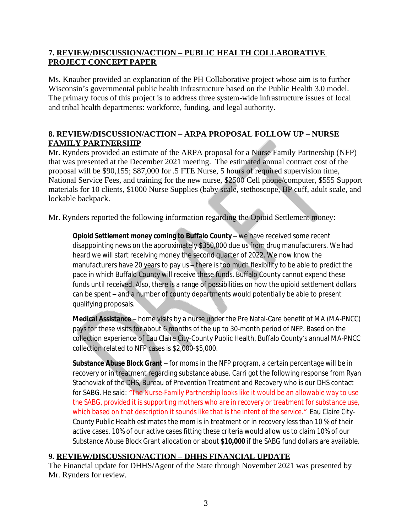## **7. REVIEW/DISCUSSION/ACTION – PUBLIC HEALTH COLLABORATIVE PROJECT CONCEPT PAPER**

Ms. Knauber provided an explanation of the PH Collaborative project whose aim is to further Wisconsin's governmental public health infrastructure based on the Public Health 3.0 model. The primary focus of this project is to address three system-wide infrastructure issues of local and tribal health departments: workforce, funding, and legal authority.

## **8. REVIEW/DISCUSSION/ACTION – ARPA PROPOSAL FOLLOW UP – NURSE FAMILY PARTNERSHIP**

Mr. Rynders provided an estimate of the ARPA proposal for a Nurse Family Partnership (NFP) that was presented at the December 2021 meeting. The estimated annual contract cost of the proposal will be \$90,155; \$87,000 for .5 FTE Nurse, 5 hours of required supervision time, National Service Fees, and training for the new nurse, \$2500 Cell phone/computer, \$555 Support materials for 10 clients, \$1000 Nurse Supplies (baby scale, stethoscope, BP cuff, adult scale, and lockable backpack.

Mr. Rynders reported the following information regarding the Opioid Settlement money:

**Opioid Settlement money coming to Buffalo County - we have received some recent** disappointing news on the approximately \$350,000 due us from drug manufacturers. We had heard we will start receiving money the second quarter of 2022. We now know the manufacturers have 20 years to pay us – there is too much flexibility to be able to predict the pace in which Buffalo County will receive these funds. Buffalo County cannot expend these funds until received. Also, there is a range of possibilities on how the opioid settlement dollars can be spent – and a number of county departments would potentially be able to present qualifying proposals.

**Medical Assistance** – home visits by a nurse under the Pre Natal-Care benefit of MA (MA-PNCC) pays for these visits for about 6 months of the up to 30-month period of NFP. Based on the collection experience of Eau Claire City-County Public Health, Buffalo County's annual MA-PNCC collection related to NFP cases is \$2,000-\$5,000.

**Substance Abuse Block Grant** – for moms in the NFP program, a certain percentage will be in recovery or in treatment regarding substance abuse. Carri got the following response from Ryan Stachoviak of the DHS, Bureau of Prevention Treatment and Recovery who is our DHS contact for SABG. He said: *"The Nurse-Family Partnership looks like it would be an allowable way to use the SABG, provided it is supporting mothers who are in recovery or treatment for substance use, which based on that description it sounds like that is the intent of the service."* Eau Claire City-County Public Health estimates the mom is in treatment or in recovery less than 10 % of their active cases. 10% of our active cases fitting these criteria would allow us to claim 10% of our Substance Abuse Block Grant allocation or about **\$10,000** if the SABG fund dollars are available.

## **9. REVIEW/DISCUSSION/ACTION – DHHS FINANCIAL UPDATE**

The Financial update for DHHS/Agent of the State through November 2021 was presented by Mr. Rynders for review.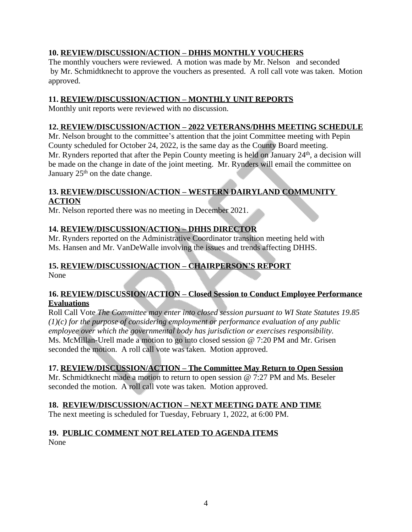## **10. REVIEW/DISCUSSION/ACTION – DHHS MONTHLY VOUCHERS**

The monthly vouchers were reviewed. A motion was made by Mr. Nelson and seconded by Mr. Schmidtknecht to approve the vouchers as presented. A roll call vote was taken. Motion approved.

## **11. REVIEW/DISCUSSION/ACTION – MONTHLY UNIT REPORTS**

Monthly unit reports were reviewed with no discussion.

### **12. REVIEW/DISCUSSION/ACTION – 2022 VETERANS/DHHS MEETING SCHEDULE**

Mr. Nelson brought to the committee's attention that the joint Committee meeting with Pepin County scheduled for October 24, 2022, is the same day as the County Board meeting. Mr. Rynders reported that after the Pepin County meeting is held on January 24<sup>th</sup>, a decision will be made on the change in date of the joint meeting. Mr. Rynders will email the committee on January  $25<sup>th</sup>$  on the date change.

#### **13. REVIEW/DISCUSSION/ACTION – WESTERN DAIRYLAND COMMUNITY ACTION**

Mr. Nelson reported there was no meeting in December 2021.

## **14. REVIEW/DISCUSSION/ACTION – DHHS DIRECTOR**

Mr. Rynders reported on the Administrative Coordinator transition meeting held with Ms. Hansen and Mr. VanDeWalle involving the issues and trends affecting DHHS.

## **15. REVIEW/DISCUSSION/ACTION – CHAIRPERSON'S REPORT**

None

#### **16. REVIEW/DISCUSSION/ACTION – Closed Session to Conduct Employee Performance Evaluations**

Roll Call Vote *The Committee may enter into closed session pursuant to WI State Statutes 19.85 (1)(c) for the purpose of considering employment or performance evaluation of any public employee over which the governmental body has jurisdiction or exercises responsibility.* Ms. McMillan-Urell made a motion to go into closed session @ 7:20 PM and Mr. Grisen seconded the motion. A roll call vote was taken. Motion approved.

## **17. REVIEW/DISCUSSION/ACTION – The Committee May Return to Open Session**

Mr. Schmidtknecht made a motion to return to open session @ 7:27 PM and Ms. Beseler seconded the motion. A roll call vote was taken. Motion approved.

## **18. REVIEW/DISCUSSION/ACTION – NEXT MEETING DATE AND TIME**

The next meeting is scheduled for Tuesday, February 1, 2022, at 6:00 PM.

# **19. PUBLIC COMMENT NOT RELATED TO AGENDA ITEMS**

None